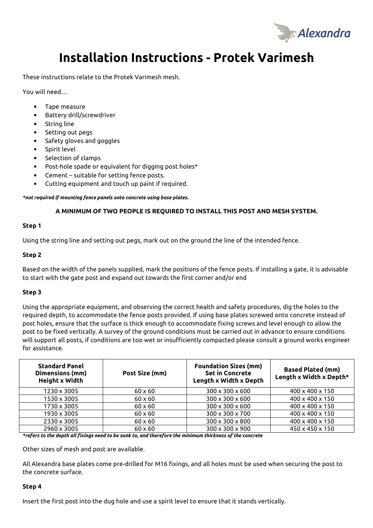

# **Installation Instructions - Protek Varimesh**

These instructions relate to the Protek Varimesh mesh.

You will need…

- Tape measure
- Battery drill/screwdriver
- String line
- Setting out pegs
- Safety gloves and goggles
- Spirit level
- Selection of clamps
- Post-hole spade or equivalent for digging post holes\*
- Cement suitable for setting fence posts.
- Cutting equipment and touch up paint if required.

*\*not required if mounting fence panels onto concrete using base plates.* 

## **A MINIMUM OF TWO PEOPLE IS REQUIRED TO INSTALL THIS POST AND MESH SYSTEM.**

#### **Step 1**

Using the string line and setting out pegs, mark out on the ground the line of the intended fence.

#### **Step 2**

Based on the width of the panels supplied, mark the positions of the fence posts. If installing a gate, it is advisable to start with the gate post and expand out towards the first corner and/or end

## **Step 3**

Using the appropriate equipment, and observing the correct health and safety procedures, dig the holes to the required depth, to accommodate the fence posts provided. If using base plates screwed onto concrete instead of post holes, ensure that the surface is thick enough to accommodate fixing screws and level enough to allow the post to be fixed vertically. A survey of the ground conditions must be carried out in advance to ensure conditions will support all posts, if conditions are too wet or insufficiently compacted please consult a ground works engineer for assistance.

| <b>Standard Panel</b><br>Dimensions (mm)<br><b>Height x Width</b> | Post Size (mm) | <b>Foundation Sizes (mm)</b><br><b>Set in Concrete</b><br>Length x Width x Depth | <b>Based Plated (mm)</b><br>Length x Width x Depth* |
|-------------------------------------------------------------------|----------------|----------------------------------------------------------------------------------|-----------------------------------------------------|
| 1230 x 3005                                                       | $60 \times 60$ | 300 x 300 x 600                                                                  | 400 x 400 x 150                                     |
| 1530 x 3005                                                       | $60 \times 60$ | 300 x 300 x 600                                                                  | 400 x 400 x 150                                     |
| 1730 x 3005                                                       | $60 \times 60$ | 300 x 300 x 600                                                                  | 400 x 400 x 150                                     |
| 1930 x 3005                                                       | $60 \times 60$ | 300 x 300 x 700                                                                  | 400 x 400 x 150                                     |
| 2330 x 3005                                                       | $60 \times 60$ | 300 x 300 x 800                                                                  | 400 x 400 x 150                                     |
| 2960 x 3005                                                       | $60 \times 60$ | 300 x 300 x 900                                                                  | 450 x 450 x 150                                     |

*\*refers to the depth all fixings need to be sunk to, and therefore the minimum thickness of the concrete* 

Other sizes of mesh and post are available.

All Alexandra base plates come pre-drilled for M16 fixings, and all holes must be used when securing the post to the concrete surface.

#### **Step 4**

Insert the first post into the dug hole and use a spirit level to ensure that it stands vertically.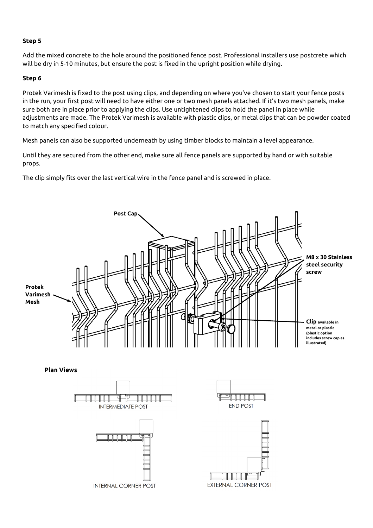# **Step 5**

Add the mixed concrete to the hole around the positioned fence post. Professional installers use postcrete which will be dry in 5-10 minutes, but ensure the post is fixed in the upright position while drying.

# **Step 6**

Protek Varimesh is fixed to the post using clips, and depending on where you've chosen to start your fence posts in the run, your first post will need to have either one or two mesh panels attached. If it's two mesh panels, make sure both are in place prior to applying the clips. Use untightened clips to hold the panel in place while adjustments are made. The Protek Varimesh is available with plastic clips, or metal clips that can be powder coated to match any specified colour.

Mesh panels can also be supported underneath by using timber blocks to maintain a level appearance.

Until they are secured from the other end, make sure all fence panels are supported by hand or with suitable props.

The clip simply fits over the last vertical wire in the fence panel and is screwed in place.



**INTERNAL CORNER POST**